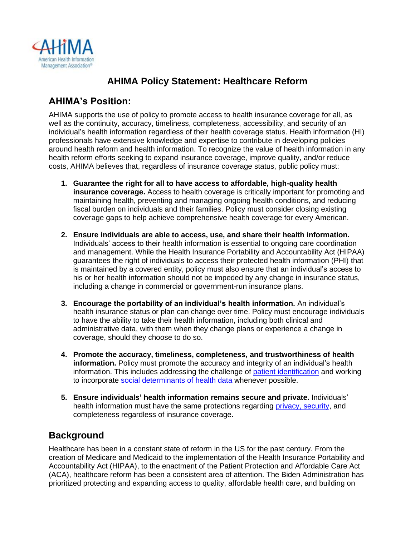

## **AHIMA Policy Statement: Healthcare Reform**

### **AHIMA's Position:**

AHIMA supports the use of policy to promote access to health insurance coverage for all, as well as the continuity, accuracy, timeliness, completeness, accessibility, and security of an individual's health information regardless of their health coverage status. Health information (HI) professionals have extensive knowledge and expertise to contribute in developing policies around health reform and health information. To recognize the value of health information in any health reform efforts seeking to expand insurance coverage, improve quality, and/or reduce costs, AHIMA believes that, regardless of insurance coverage status, public policy must:

- **1. Guarantee the right for all to have access to affordable, high-quality health insurance coverage.** Access to health coverage is critically important for promoting and maintaining health, preventing and managing ongoing health conditions, and reducing fiscal burden on individuals and their families. Policy must consider closing existing coverage gaps to help achieve comprehensive health coverage for every American.
- **2. Ensure individuals are able to access, use, and share their health information.** Individuals' access to their health information is essential to ongoing care coordination and management. While the Health Insurance Portability and Accountability Act (HIPAA) guarantees the right of individuals to access their protected health information (PHI) that is maintained by a covered entity, policy must also ensure that an individual's access to his or her health information should not be impeded by any change in insurance status, including a change in commercial or government-run insurance plans.
- **3. Encourage the portability of an individual's health information.** An individual's health insurance status or plan can change over time. Policy must encourage individuals to have the ability to take their health information, including both clinical and administrative data, with them when they change plans or experience a change in coverage, should they choose to do so.
- **4. Promote the accuracy, timeliness, completeness, and trustworthiness of health information.** Policy must promote the accuracy and integrity of an individual's health information. This includes addressing the challenge of [patient identification](https://www.ahima.org/media/2idlrhhk/patient-id-policy-statement-final.pdf) and working to incorporate [social determinants of health data](https://www.ahima.org/media/pi4jj1on/ahima-sdoh-policy-statement.pdf) whenever possible.
- **5. Ensure individuals' health information remains secure and private.** Individuals' health information must have the same protections regarding [privacy, security,](https://www.ahima.org/media/tazfarik/cybersecurity_information-security-policy-statement-final.pdf) and completeness regardless of insurance coverage.

#### **Background**

Healthcare has been in a constant state of reform in the US for the past century. From the creation of Medicare and Medicaid to the implementation of the Health Insurance Portability and Accountability Act (HIPAA), to the enactment of the Patient Protection and Affordable Care Act (ACA), healthcare reform has been a consistent area of attention. The Biden Administration has prioritized protecting and expanding access to quality, affordable health care, and building on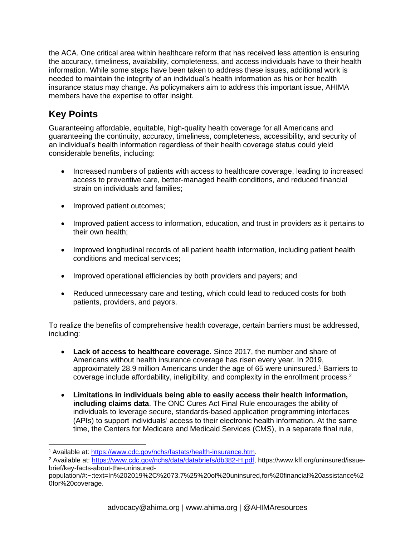the ACA. One critical area within healthcare reform that has received less attention is ensuring the accuracy, timeliness, availability, completeness, and access individuals have to their health information. While some steps have been taken to address these issues, additional work is needed to maintain the integrity of an individual's health information as his or her health insurance status may change. As policymakers aim to address this important issue, AHIMA members have the expertise to offer insight.

# **Key Points**

Guaranteeing affordable, equitable, high-quality health coverage for all Americans and guaranteeing the continuity, accuracy, timeliness, completeness, accessibility, and security of an individual's health information regardless of their health coverage status could yield considerable benefits, including:

- Increased numbers of patients with access to healthcare coverage, leading to increased access to preventive care, better-managed health conditions, and reduced financial strain on individuals and families;
- Improved patient outcomes;
- Improved patient access to information, education, and trust in providers as it pertains to their own health;
- Improved longitudinal records of all patient health information, including patient health conditions and medical services;
- Improved operational efficiencies by both providers and payers; and
- Reduced unnecessary care and testing, which could lead to reduced costs for both patients, providers, and payors.

To realize the benefits of comprehensive health coverage, certain barriers must be addressed, including:

- **Lack of access to healthcare coverage.** Since 2017, the number and share of Americans without health insurance coverage has risen every year. In 2019, approximately 28.9 million Americans under the age of 65 were uninsured.<sup>1</sup> Barriers to coverage include affordability, ineligibility, and complexity in the enrollment process.<sup>2</sup>
- **Limitations in individuals being able to easily access their health information, including claims data**. The ONC Cures Act Final Rule encourages the ability of individuals to leverage secure, standards-based application programming interfaces (APIs) to support individuals' access to their electronic health information. At the same time, the Centers for Medicare and Medicaid Services (CMS), in a separate final rule,

<sup>1</sup> Available at: [https://www.cdc.gov/nchs/fastats/health-insurance.htm.](https://www.cdc.gov/nchs/fastats/health-insurance.htm)

<sup>2</sup> Available at: [https://www.cdc.gov/nchs/data/databriefs/db382-H.pdf,](https://www.cdc.gov/nchs/data/databriefs/db382-H.pdf) https://www.kff.org/uninsured/issuebrief/key-facts-about-the-uninsured-

population/#:~:text=In%202019%2C%2073.7%25%20of%20uninsured,for%20financial%20assistance%2 0for%20coverage.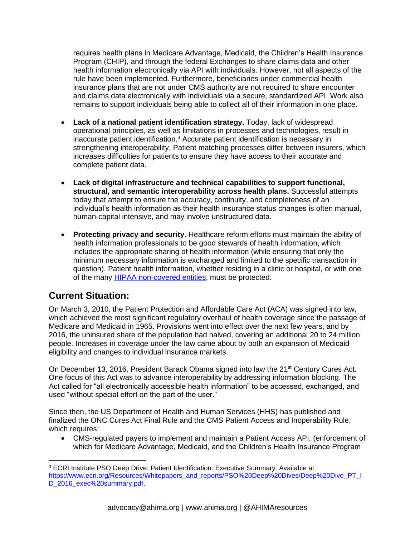requires health plans in Medicare Advantage, Medicaid, the Children's Health Insurance Program (CHIP), and through the federal Exchanges to share claims data and other health information electronically via API with individuals. However, not all aspects of the rule have been implemented. Furthermore, beneficiaries under commercial health insurance plans that are not under CMS authority are not required to share encounter and claims data electronically with individuals via a secure, standardized API. Work also remains to support individuals being able to collect all of their information in one place.

- **Lack of a national patient identification strategy.** Today, lack of widespread operational principles, as well as limitations in processes and technologies, result in inaccurate patient identification.<sup>3</sup> Accurate patient identification is necessary in strengthening interoperability. Patient matching processes differ between insurers, which increases difficulties for patients to ensure they have access to their accurate and complete patient data.
- **Lack of digital infrastructure and technical capabilities to support functional, structural, and semantic interoperability across health plans.** Successful attempts today that attempt to ensure the accuracy, continuity, and completeness of an individual's health information as their health insurance status changes is often manual, human-capital intensive, and may involve unstructured data.
- **Protecting privacy and security**. Healthcare reform efforts must maintain the ability of health information professionals to be good stewards of health information, which includes the appropriate sharing of health information (while ensuring that only the minimum necessary information is exchanged and limited to the specific transaction in question). Patient health information, whether residing in a clinic or hospital, or with one of the many **HIPAA non-covered entities**, must be protected.

## **Current Situation:**

On March 3, 2010, the Patient Protection and Affordable Care Act (ACA) was signed into law, which achieved the most significant regulatory overhaul of health coverage since the passage of Medicare and Medicaid in 1965. Provisions went into effect over the next few years, and by 2016, the uninsured share of the population had halved, covering an additional 20 to 24 million people. Increases in coverage under the law came about by both an expansion of Medicaid eligibility and changes to individual insurance markets.

On December 13, 2016, President Barack Obama signed into law the 21<sup>st</sup> Century Cures Act. One focus of this Act was to advance interoperability by addressing information blocking. The Act called for "all electronically accessible health information" to be accessed, exchanged, and used "without special effort on the part of the user."

Since then, the US Department of Health and Human Services (HHS) has published and finalized the ONC Cures Act Final Rule and the CMS Patient Access and Inoperability Rule, which requires:

• CMS-regulated payers to implement and maintain a Patient Access API, (enforcement of which for Medicare Advantage, Medicaid, and the Children's Health Insurance Program

<sup>3</sup> ECRI Institute PSO Deep Drive: Patient Identification: Executive Summary. Available at: [https://www.ecri.org/Resources/Whitepapers\\_and\\_reports/PSO%20Deep%20Dives/Deep%20Dive\\_PT\\_I](https://www.ecri.org/Resources/Whitepapers_and_reports/PSO%20Deep%20Dives/Deep%20Dive_PT_ID_2016_exec%20summary.pdf)\_ [D\\_2016\\_exec%20summary.pdf.](https://www.ecri.org/Resources/Whitepapers_and_reports/PSO%20Deep%20Dives/Deep%20Dive_PT_ID_2016_exec%20summary.pdf)